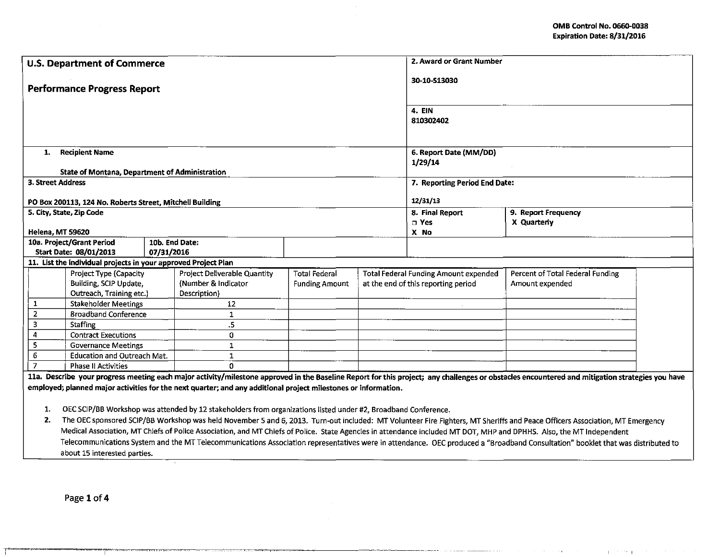and the pr  $\mathbf{I}$ 

| <b>U.S. Department of Commerce</b>                                                                                                                                                             | 2. Award or Grant Number |                                     |                                              |                                  |  |  |  |  |
|------------------------------------------------------------------------------------------------------------------------------------------------------------------------------------------------|--------------------------|-------------------------------------|----------------------------------------------|----------------------------------|--|--|--|--|
| <b>Performance Progress Report</b>                                                                                                                                                             | 30-10-513030             |                                     |                                              |                                  |  |  |  |  |
|                                                                                                                                                                                                |                          |                                     | <b>4. EIN</b>                                |                                  |  |  |  |  |
|                                                                                                                                                                                                |                          |                                     | 810302402                                    |                                  |  |  |  |  |
|                                                                                                                                                                                                |                          |                                     |                                              |                                  |  |  |  |  |
| 1. Recipient Name                                                                                                                                                                              | 6. Report Date (MM/DD)   |                                     |                                              |                                  |  |  |  |  |
|                                                                                                                                                                                                |                          |                                     | 1/29/14                                      |                                  |  |  |  |  |
| <b>State of Montana, Department of Administration</b>                                                                                                                                          |                          |                                     |                                              |                                  |  |  |  |  |
| 3. Street Address                                                                                                                                                                              |                          |                                     | 7. Reporting Period End Date:                |                                  |  |  |  |  |
| PO Box 200113, 124 No. Roberts Street, Mitchell Building                                                                                                                                       |                          | 12/31/13                            |                                              |                                  |  |  |  |  |
| 5. City, State, Zip Code                                                                                                                                                                       |                          |                                     | 8. Final Report                              | 9. Report Frequency              |  |  |  |  |
|                                                                                                                                                                                                |                          |                                     | $\square$ Yes                                | X Quarterly                      |  |  |  |  |
| Helena, MT 59620                                                                                                                                                                               |                          |                                     | X No                                         |                                  |  |  |  |  |
| 10b. End Date:<br>10a. Project/Grant Period<br>07/31/2016<br>Start Date: 08/01/2013                                                                                                            |                          |                                     |                                              |                                  |  |  |  |  |
| 11. List the individual projects in your approved Project Plan                                                                                                                                 |                          |                                     |                                              |                                  |  |  |  |  |
| Project Deliverable Quantity<br>Project Type (Capacity                                                                                                                                         | <b>Total Federal</b>     |                                     | <b>Total Federal Funding Amount expended</b> | Percent of Total Federal Funding |  |  |  |  |
| Building, SCIP Update,<br>(Number & Indicator                                                                                                                                                  | <b>Funding Amount</b>    | at the end of this reporting period |                                              | Amount expended                  |  |  |  |  |
| Outreach, Training etc.)<br>Description)                                                                                                                                                       |                          |                                     |                                              |                                  |  |  |  |  |
| 1<br><b>Stakeholder Meetings</b><br>12                                                                                                                                                         |                          |                                     |                                              |                                  |  |  |  |  |
| $\overline{2}$<br><b>Broadband Conference</b><br>$\mathbf{1}$                                                                                                                                  |                          |                                     |                                              |                                  |  |  |  |  |
| 3<br>.5<br><b>Staffing</b>                                                                                                                                                                     |                          |                                     |                                              |                                  |  |  |  |  |
| 4<br><b>Contract Executions</b><br>0                                                                                                                                                           |                          |                                     |                                              |                                  |  |  |  |  |
| 5<br>$\mathbf{1}$<br><b>Governance Meetings</b>                                                                                                                                                |                          |                                     |                                              |                                  |  |  |  |  |
| $\overline{6}$<br>$\mathbf{1}$<br><b>Education and Outreach Mat.</b><br>$\overline{7}$<br><b>Phase II Activities</b><br>O.                                                                     |                          |                                     |                                              |                                  |  |  |  |  |
| 11a. Describe your progress meeting each major activity/milestone approved in the Baseline Report for this project; any challenges or obstacles encountered and mitigation strategies you have |                          |                                     |                                              |                                  |  |  |  |  |
| employed; planned major activities for the next quarter; and any additional project milestones or information.                                                                                 |                          |                                     |                                              |                                  |  |  |  |  |
| OEC SCIP/BB Workshop was attended by 12 stakeholders from organizations listed under #2, Broadband Conference.<br>1.                                                                           |                          |                                     |                                              |                                  |  |  |  |  |
| The OEC sponsored SCIP/BB Workshop was held November 5 and 6, 2013. Turn-out included: MT Volunteer Fire Fighters, MT Sheriffs and Peace Officers Association, MT Emergency<br>2.              |                          |                                     |                                              |                                  |  |  |  |  |
| Medical Association, MT Chiefs of Police Association, and MT Chiefs of Police. State Agencies in attendance included MT DOT, MHP and DPHHS. Also, the MT Independent                           |                          |                                     |                                              |                                  |  |  |  |  |
|                                                                                                                                                                                                |                          |                                     |                                              |                                  |  |  |  |  |
| Telecommunications System and the MT Telecommunications Association representatives were in attendance. OEC produced a "Broadband Consultation" booklet that was distributed to                |                          |                                     |                                              |                                  |  |  |  |  |

--------

 $\mathcal{A}^{\mathcal{A}}$ 

.<br>Francouzska politika

 $\sim$ 

्<br>सामग्रीका हिन्दी प्राप्त के प्राप्त करना का सामग्रीका का सामग्रीका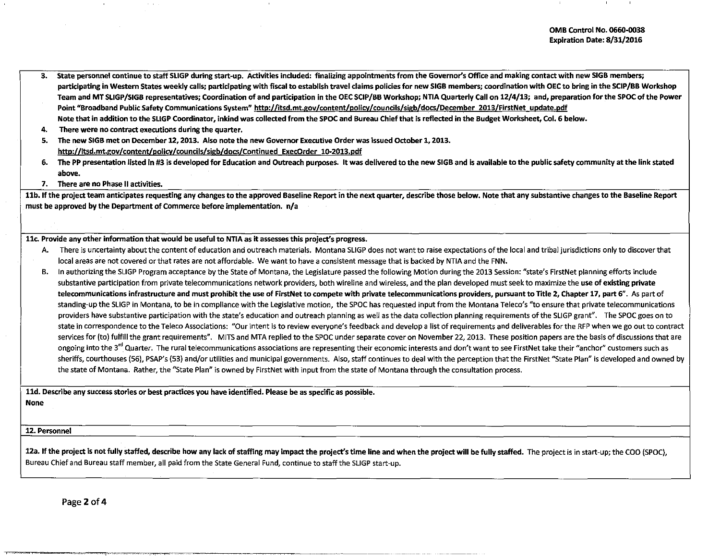- 3. State personnel continue to staff SLIGP during start-up. Activities included: finalizing appointments from the Governor's Office and making contact with new 51GB members; participating in Western States weekly calls; participating with fiscal to establish travel claims policies for new 51GB members; coordination with OEC to bring in the SCIP/BB Workshop Team and MT SLIGP/SIGB representatives; Coordination of and participation in the OEC SCIP/BB Workshop; NTIA Quarterly Call on 12/4/13; and, preparation for the SPOC of the Power Point "Broadband Public Safety Communications System" http://itsd.mt.gov/content/policy/councils/sigb/docs/December 2013/FirstNet update.pdf Note that in addition to the SLIGP Coordinator, inkind was collected from the SPOC and Bureau Chief that is reflected in the Budget Worksheet, Col. 6 below.
- 4. There were no contract executions during the quarter.
- s. The new SIGB met on December 12, 2013. Also note the new Governor Executive Order was issued October 1, 2013. http://itsd.mt.gov/content/policy/councils/sigb/docs/Continued ExecOrder 10-2013.pdf
- 6. The PP presentation listed in #3 is developed for Education and Outreach purposes. It was delivered to the new 51GB and is available to the public safety community at the link stated above.
- 7. There are no Phase II activities.

11b. If the project team anticipates requesting any changes to the approved Baseline Report in the next quarter, describe those below. Note that any substantive changes to the Baseline Report must be approved by the Department of Commerce before implementation. n/a

## 11c. Provide any other information that would be useful to NTIA as it assesses this project's progress.

- A. There is uncertainty about the content of education and outreach materials. Montana SLIGP does not want to raise expectations of the local and tribal jurisdictions only to discover that local areas are not covered or that rates are not affordable. We want to have a consistent message that is backed by NTIA and the FNN.
- B. In authorizing the SLIGP Program acceptance by the State of Montana, the Legislature passed the following Motion during the 2013 Session: "state's FirstNet planning efforts include substantive participation from private telecommunications network providers, both wireline and wireless, and the plan developed must seek to maximize the use of existing private telecommunications infrastructure and must prohibit the use of FirstNet to compete with private telecommunications providers, pursuant to Title 2, Chapter 17, part 6". As part of standing-up the SLIGP in Montana, to be in compliance with the Legislative motion, the SPOC has requested input from the Montana Teleco's "to ensure that private telecommunications providers have substantive participation with the state's education and outreach planning as well as the data collection planning requirements of the SLIGP grant". The SPOC goes on to state in correspondence to the Teleco Associations: "Our intent is to review everyone's feedback and develop a list of requirements and deliverables for the RFP when we go out to contract services for (to) fulfill the grant requirements". MITS and MTA replied to the SPOC under separate cover on November 22, 2013. These position papers are the basis of discussions that are ongoing into the 3<sup>rd</sup> Quarter. The rural telecommunications associations are representing their economic interests and don't want to see FirstNet take their "anchor" customers such as sheriffs, courthouses (56), PSAP's (53) and/or utilities and municipal governments. Also, staff continues to deal with the perception that the FirstNet "State Plan" is developed and owned by the state of Montana. Rather, the "State Plan" is owned by FirstNet with input from the state of Montana through the consultation process.

11d. Describe any success stories or best practices you have identified. Please be as specific as possible. None

12. Personnel

-- --·

12a. If the project is not fully staffed, describe how any lack of staffing may impact the project's time line and when the project will be fully staffed. The project is in start-up; the COO (SPOC), Bureau Chief and Bureau staff member, all paid from the State General Fund, continue to staff the SLIGP start-up.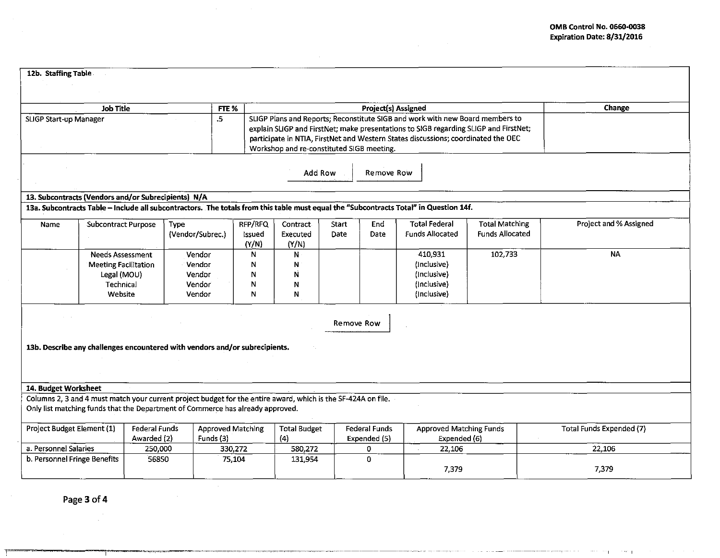| 12b. Staffing Table                                                                                                                                                                             |                                                                                                                                                                                                                                    |         |                          |                        |                                                                                                                                                                                                                                                                                                         |                               |                                                                     |             |                                                                                                                                       |                                                 |        |                        |
|-------------------------------------------------------------------------------------------------------------------------------------------------------------------------------------------------|------------------------------------------------------------------------------------------------------------------------------------------------------------------------------------------------------------------------------------|---------|--------------------------|------------------------|---------------------------------------------------------------------------------------------------------------------------------------------------------------------------------------------------------------------------------------------------------------------------------------------------------|-------------------------------|---------------------------------------------------------------------|-------------|---------------------------------------------------------------------------------------------------------------------------------------|-------------------------------------------------|--------|------------------------|
|                                                                                                                                                                                                 |                                                                                                                                                                                                                                    |         |                          |                        |                                                                                                                                                                                                                                                                                                         |                               |                                                                     |             |                                                                                                                                       |                                                 |        |                        |
| <b>Job Title</b><br>FTE %                                                                                                                                                                       |                                                                                                                                                                                                                                    |         |                          |                        |                                                                                                                                                                                                                                                                                                         |                               | <b>Project(s) Assigned</b>                                          |             |                                                                                                                                       |                                                 | Change |                        |
| $\cdot$ 5<br>SLIGP Start-up Manager                                                                                                                                                             |                                                                                                                                                                                                                                    |         |                          |                        | SLIGP Plans and Reports; Reconstitute SIGB and work with new Board members to<br>explain SLIGP and FirstNet; make presentations to SIGB regarding SLIGP and FirstNet;<br>participate in NTIA, FirstNet and Western States discussions; coordinated the OEC<br>Workshop and re-constituted SIGB meeting. |                               |                                                                     |             |                                                                                                                                       |                                                 |        |                        |
|                                                                                                                                                                                                 |                                                                                                                                                                                                                                    |         |                          |                        |                                                                                                                                                                                                                                                                                                         |                               | Add Row                                                             | Remove Row  |                                                                                                                                       |                                                 |        |                        |
| 13. Subcontracts (Vendors and/or Subrecipients) N/A                                                                                                                                             |                                                                                                                                                                                                                                    |         |                          |                        |                                                                                                                                                                                                                                                                                                         |                               |                                                                     |             |                                                                                                                                       |                                                 |        |                        |
|                                                                                                                                                                                                 |                                                                                                                                                                                                                                    |         |                          |                        |                                                                                                                                                                                                                                                                                                         |                               |                                                                     |             | 13a. Subcontracts Table - Include all subcontractors. The totals from this table must equal the "Subcontracts Total" in Question 14f. |                                                 |        |                        |
| Name                                                                                                                                                                                            | <b>Subcontract Purpose</b>                                                                                                                                                                                                         |         | Type<br>(Vendor/Subrec.) |                        | RFP/RFQ<br>issued<br>(Y/N)                                                                                                                                                                                                                                                                              | Contract<br>Executed<br>(Y/N) | Start<br>Date                                                       | End<br>Date | <b>Total Federal</b><br><b>Funds Allocated</b>                                                                                        | <b>Total Matching</b><br><b>Funds Allocated</b> |        | Project and % Assigned |
| <b>Needs Assessment</b><br>Vendor<br>Vendor<br><b>Meeting Facilitation</b><br>Vendor<br>Legal (MOU)<br>Technical<br>Vendor<br>Website<br>Vendor                                                 |                                                                                                                                                                                                                                    |         | N<br>N<br>N<br>N<br>N    | N.<br>N<br>N<br>N<br>N |                                                                                                                                                                                                                                                                                                         |                               | 410,931<br>(Inclusive)<br>(Inclusive)<br>(Inclusive)<br>(Inclusive) | 102,733     |                                                                                                                                       | <b>NA</b>                                       |        |                        |
| 13b. Describe any challenges encountered with vendors and/or subrecipients.                                                                                                                     |                                                                                                                                                                                                                                    |         |                          |                        |                                                                                                                                                                                                                                                                                                         |                               |                                                                     | Remove Row  |                                                                                                                                       |                                                 |        |                        |
| 14. Budget Worksheet                                                                                                                                                                            |                                                                                                                                                                                                                                    |         |                          |                        |                                                                                                                                                                                                                                                                                                         |                               |                                                                     |             |                                                                                                                                       |                                                 |        |                        |
| Columns 2, 3 and 4 must match your current project budget for the entire award, which is the SF-424A on file.<br>Only list matching funds that the Department of Commerce has already approved. |                                                                                                                                                                                                                                    |         |                          |                        |                                                                                                                                                                                                                                                                                                         |                               |                                                                     |             |                                                                                                                                       |                                                 |        |                        |
|                                                                                                                                                                                                 | Project Budget Element (1)<br><b>Federal Funds</b><br><b>Approved Matching</b><br><b>Total Budget</b><br><b>Federal Funds</b><br><b>Approved Matching Funds</b><br>Awarded (2)<br>Funds (3)<br>(4)<br>Expended (5)<br>Expended (6) |         | Total Funds Expended (7) |                        |                                                                                                                                                                                                                                                                                                         |                               |                                                                     |             |                                                                                                                                       |                                                 |        |                        |
| a. Personnel Salaries                                                                                                                                                                           |                                                                                                                                                                                                                                    | 250,000 |                          | 330,272                |                                                                                                                                                                                                                                                                                                         | 580,272                       |                                                                     | 0.          | 22,106                                                                                                                                |                                                 |        | 22,106                 |
| b. Personnel Fringe Benefits<br>56850                                                                                                                                                           |                                                                                                                                                                                                                                    |         | 75,104                   |                        | 131,954                                                                                                                                                                                                                                                                                                 |                               | $\overline{0}$                                                      | 7,379       |                                                                                                                                       |                                                 | 7,379  |                        |

Page 3 of 4